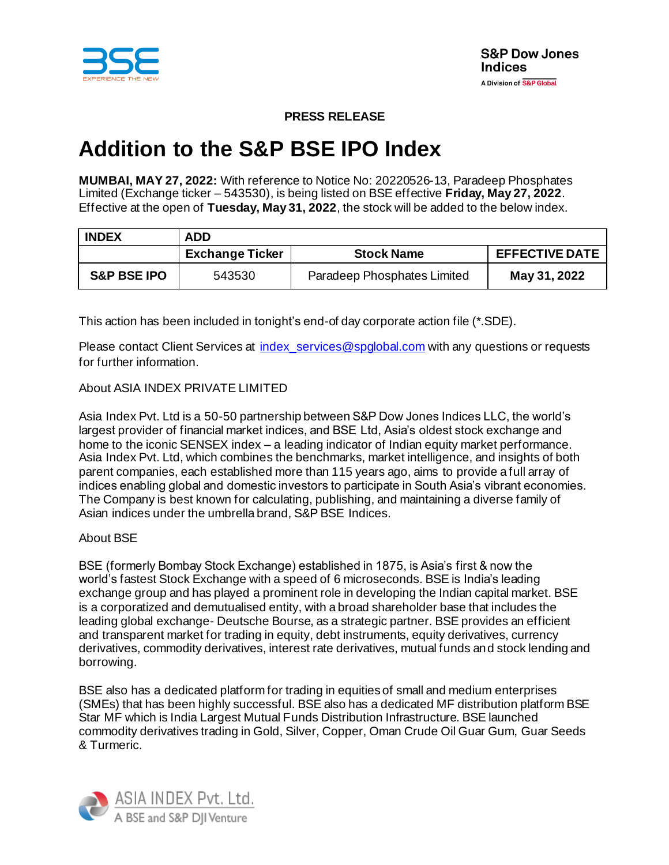

# **PRESS RELEASE**

# **Addition to the S&P BSE IPO Index**

**MUMBAI, MAY 27, 2022:** With reference to Notice No: 20220526-13, Paradeep Phosphates Limited (Exchange ticker – 543530), is being listed on BSE effective **Friday, May 27, 2022**. Effective at the open of **Tuesday, May 31, 2022**, the stock will be added to the below index.

| <b>INDEX</b>           | <b>ADD</b>             |                             |                       |
|------------------------|------------------------|-----------------------------|-----------------------|
|                        | <b>Exchange Ticker</b> | <b>Stock Name</b>           | <b>EFFECTIVE DATE</b> |
| <b>S&amp;P BSE IPO</b> | 543530                 | Paradeep Phosphates Limited | May 31, 2022          |

This action has been included in tonight's end-of day corporate action file (\*.SDE).

Please contact Client Services at index services@spglobal.com with any questions or requests for further information.

# About ASIA INDEX PRIVATE LIMITED

Asia Index Pvt. Ltd is a 50-50 partnership between S&P Dow Jones Indices LLC, the world's largest provider of financial market indices, and BSE Ltd, Asia's oldest stock exchange and home to the iconic SENSEX index – a leading indicator of Indian equity market performance. Asia Index Pvt. Ltd, which combines the benchmarks, market intelligence, and insights of both parent companies, each established more than 115 years ago, aims to provide a full array of indices enabling global and domestic investors to participate in South Asia's vibrant economies. The Company is best known for calculating, publishing, and maintaining a diverse family of Asian indices under the umbrella brand, S&P BSE Indices.

# About BSE

BSE (formerly Bombay Stock Exchange) established in 1875, is Asia's first & now the world's fastest Stock Exchange with a speed of 6 microseconds. BSE is India's leading exchange group and has played a prominent role in developing the Indian capital market. BSE is a corporatized and demutualised entity, with a broad shareholder base that includes the leading global exchange- Deutsche Bourse, as a strategic partner. BSE provides an efficient and transparent market for trading in equity, debt instruments, equity derivatives, currency derivatives, commodity derivatives, interest rate derivatives, mutual funds and stock lending and borrowing.

BSE also has a dedicated platform for trading in equities of small and medium enterprises (SMEs) that has been highly successful. BSE also has a dedicated MF distribution platform BSE Star MF which is India Largest Mutual Funds Distribution Infrastructure. BSE launched commodity derivatives trading in Gold, Silver, Copper, Oman Crude Oil Guar Gum, Guar Seeds & Turmeric.